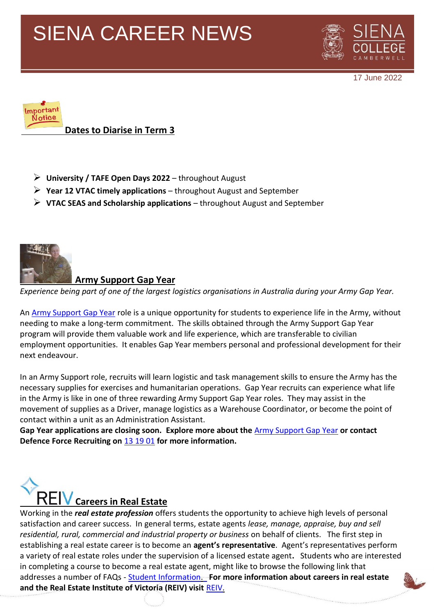

17 June 2022



- ➢ **University / TAFE Open Days 2022** throughout August
- ➢ **Year 12 VTAC timely applications**  throughout August and September
- ➢ **VTAC SEAS and Scholarship applications**  throughout August and September



#### **Army Support Gap Year**

*Experience being part of one of the largest logistics organisations in Australia during your Army Gap Year.*

An **Army Support Gap Year role** is a unique opportunity for students to experience life in the Army, without needing to make a long-term commitment. The skills obtained through the Army Support Gap Year program will provide them valuable work and life experience, which are transferable to civilian employment opportunities. It enables Gap Year members personal and professional development for their next endeavour.

In an Army Support role, recruits will learn logistic and task management skills to ensure the Army has the necessary supplies for exercises and humanitarian operations. Gap Year recruits can experience what life in the Army is like in one of three rewarding Army Support Gap Year roles. They may assist in the movement of supplies as a Driver, manage logistics as a Warehouse Coordinator, or become the point of contact within a unit as an Administration Assistant.

**Gap Year applications are closing soon. Explore more about the** [Army Support Gap Year](https://www.defencejobs.gov.au/sitecore%20modules/Web/EXM/RedirectUrlPage.aspx?ec_eq=qUyRvvZYnEepYodAPjzGL%2fI06fKAGC92ZF0NE5ZU6P4ZsiTKLvr0FHIokxREgHfgUP76zNfjUFi0aldXSlY%2fJWKt83U5%2fuw%2f6%2bpTXZqTZYP10RQbt5DykYNbItaVt7S8x3C9uiSw2nw8cNTi7zXc5cTtJ%2btE9wXx9VttgBPOpHGClE%2bsWmCF9ieDDJvsARGhNojiFs5eJVH1ZODBB6YOoLMa9Z6Y4WnJfZPFrDagt3z9KPtYZxtqDVUbzRYOPbsMVLwVd%2f4bBuG0%2fSMnexj7ArMltkl4F%2fAk8XvbzbyqCOhxq%2bLX4ONgLMiOvnQ5D4ZOIBLiln%2bl5vKYOXrwmGUjkw11kbUunb8cdy7%2f6bk%2b5Wt5C8wszeNYlSglYCFwwtsC) **or contact Defence Force Recruiting on** [13 19 01](https://www.defencejobs.gov.au/sitecore%20modules/Web/EXM/RedirectUrlPage.aspx?ec_eq=%2brEbAHxdLn4fY2jFyjYWrfl67t1MsGkBXNx%2f1A8k3PhhgIUAFbfWsidJ3lcHkfZxJncBUmt9h5gH2sAdcZ8ULGkTtS3KOu7vZ2Tlnwj96h5F7xv%2f65%2f00snihvLbkVGBlL15a1pWqnqo22KOGB9tLYO9pK5rd81ys2DuTTbrgeeUmcawjsm2ZLK1rIdDb8xM4%2bQpJ3RrIb2dtPjVuq5Am2bZvSQ8%2fY5VTMCNxNO7HI4VJ4X%2fPUHqaOh9Py071vc63BN4UIwkThv1S6G0CoN%2fvg%3d%3d) **for more information.**



Working in the *real estate profession* offers students the opportunity to achieve high levels of personal satisfaction and career success. In general terms, estate agents *lease, manage, appraise, buy and sell residential, rural, commercial and industrial property or business* on behalf of clients. The first step in establishing a real estate career is to become an **agent's representative**. Agent's representatives perform a variety of real estate roles under the supervision of a licensed estate agent**.** Students who are interested in completing a course to become a real estate agent, might like to browse the following link that addresses a number of FAQs - [Student Information.](http://www.reiv.com.au/learning/student-information) **For more information about careers in real estate and the Real Estate Institute of Victoria (REIV) visit** [REIV.](http://www.reiv.com.au/Training)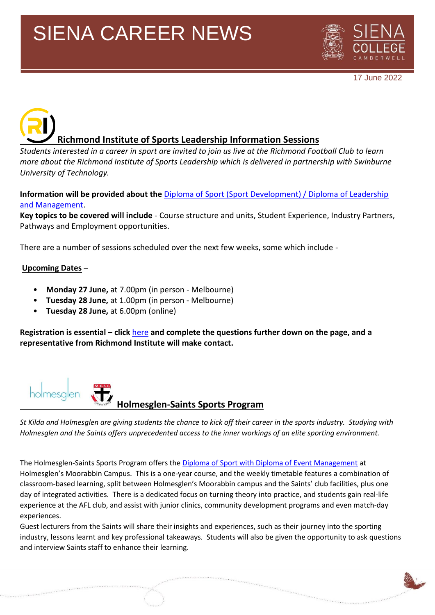

17 June 2022

# **Richmond Institute of Sports Leadership Information Sessions**

*Students interested in a career in sport are invited to join us live at the Richmond Football Club to learn more about the Richmond Institute of Sports Leadership which is delivered in partnership with Swinburne University of Technology.*

**Information will be provided about the** [Diploma of Sport \(Sport Development\) / Diploma of Leadership](https://www.swinburne.edu.au/study/course/Diploma-of-Sport-(Sport-Development)/-Diploma-of-Leadership-and-Management-SIS50319/BSB51918/local#how-to-apply)  [and Management.](https://www.swinburne.edu.au/study/course/Diploma-of-Sport-(Sport-Development)/-Diploma-of-Leadership-and-Management-SIS50319/BSB51918/local#how-to-apply)

**Key topics to be covered will include** - Course structure and units, Student Experience, Industry Partners, Pathways and Employment opportunities.

There are a number of sessions scheduled over the next few weeks, some which include -

#### **Upcoming Dates –**

- **Monday 27 June,** at 7.00pm (in person Melbourne)
- **Tuesday 28 June,** at 1.00pm (in person Melbourne)
- **Tuesday 28 June,** at 6.00pm (online)

**Registration is essential – click** [here](https://www.swinburne.edu.au/study/course/Diploma-of-Sport-/-Diploma-of-Leadership-and-Management-SIS50321/BSB50420/local#how-to-apply) **and complete the questions further down on the page, and a representative from Richmond Institute will make contact.**



*St Kilda and Holmesglen are giving students the chance to kick off their career in the sports industry. Studying with Holmesglen and the Saints offers unprecedented access to the inner workings of an elite sporting environment.*

The Holmesglen-Saints Sports Program offers th[e Diploma of Sport with Diploma of Event Management](https://holmesglen.edu.au/Courses/Sport-Fitness-and-Wellbeing/Sport/Diploma-of-Sport-with-Diploma-of-Event-Management-SIT50316/) at Holmesglen's Moorabbin Campus. This is a one-year course, and the weekly timetable features a combination of classroom-based learning, split between Holmesglen's Moorabbin campus and the Saints' club facilities, plus one day of integrated activities. There is a dedicated focus on turning theory into practice, and students gain real-life experience at the AFL club, and assist with junior clinics, community development programs and even match-day experiences.

Guest lecturers from the Saints will share their insights and experiences, such as their journey into the sporting industry, lessons learnt and key professional takeaways. Students will also be given the opportunity to ask questions and interview Saints staff to enhance their learning.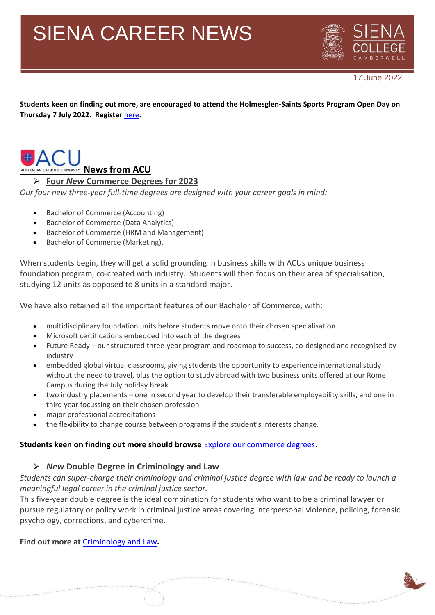

17 June 2022

**Students keen on finding out more, are encouraged to attend the Holmesglen-Saints Sports Program Open Day on Thursday 7 July 2022. Register** [here](https://holmesglen.edu.au/Students/Open-Days/Register/18951/)**.** 



#### ➢ **Four** *New* **Commerce Degrees for 2023**

*Our four new three-year full-time degrees are designed with your career goals in mind:*

- Bachelor of Commerce (Accounting)
- Bachelor of Commerce (Data Analytics)
- Bachelor of Commerce (HRM and Management)
- Bachelor of Commerce (Marketing).

When students begin, they will get a solid grounding in business skills with ACUs unique business foundation program, co-created with industry. Students will then focus on their area of specialisation, studying 12 units as opposed to 8 units in a standard major.

We have also retained all the important features of our Bachelor of Commerce, with:

- multidisciplinary foundation units before students move onto their chosen specialisation
- Microsoft certifications embedded into each of the degrees
- Future Ready our structured three-year program and roadmap to success, co-designed and recognised by industry
- embedded global virtual classrooms, giving students the opportunity to experience international study without the need to travel, plus the option to study abroad with two business units offered at our Rome Campus during the July holiday break
- two industry placements one in second year to develop their transferable employability skills, and one in third year focussing on their chosen profession
- major professional accreditations
- the flexibility to change course between programs if the student's interests change.

#### **Students keen on finding out more should browse** Explore our [commerce](https://elink.clickdimensions.com/c/7/eyJhaSI6MzExNTYxNjMsImUiOiJqYWNreS5idXJ0b25Aa25veC52aWMuZWR1LmF1IiwicmkiOiJjb250YWN0LWUyNWI4Yzg0Zjc5Y2UzMTFiNmZjZDg5ZDY3NjViMjIwLTcyOTIyNjliODc1YTRkODdhZTNiMzMwMjA4OTJkMjU0IiwicnEiOiIwMi1iMjIxNTctY2QzNDYxM2E1NDYxNDgyODk3Y2M2ZDRlMjI3Nzk4ZmIiLCJwaCI6bnVsbCwibSI6ZmFsc2UsInVpIjoiOSIsInVuIjoiIiwidSI6Imh0dHBzOi8vd3d3LmFjdS5lZHUuYXUvc3R1ZHktYXQtYWN1L2ZpbmQtYS1jb3Vyc2UvbmV3LWNvdXJzZXMvZm91ci1iYWNoZWxvci1vZi1jb21tZXJjZS1zcGVjaWFsaXNhdGlvbnM_X2NsZGVlPW9wSzZoa1pjU2FNUDhJYUVVb3dMc08ySUEtbWV2WVFtNDYzdUVDX1lMckNSb29IU2xOMXRwbC1xSEpKY2lUMmQmcmVjaXBpZW50aWQ9Y29udGFjdC1lMjViOGM4NGY3OWNlMzExYjZmY2Q4OWQ2NzY1YjIyMC03MjkyMjY5Yjg3NWE0ZDg3YWUzYjMzMDIwODkyZDI1NCZlc2lkPTRkYTVkY2ZmLTMzZTItZWMxMS1iYjNkLTAwMjI0ODkyN2NkNiJ9/4p_IlkjeTu1p-HJG12WoLw) degrees.

#### ➢ *New* **Double Degree in Criminology and Law**

*Students can super-charge their criminology and criminal justice degree with law and be ready to launch a meaningful legal career in the criminal justice sector.*

This five-year double degree is the ideal combination for students who want to be a criminal lawyer or pursue regulatory or policy work in criminal justice areas covering interpersonal violence, policing, forensic psychology, corrections, and cybercrime.

**Find out more at** [Criminology](https://elink.clickdimensions.com/c/7/eyJhaSI6MzExNTYxNjMsImUiOiJqYWNreS5idXJ0b25Aa25veC52aWMuZWR1LmF1IiwicmkiOiJjb250YWN0LWUyNWI4Yzg0Zjc5Y2UzMTFiNmZjZDg5ZDY3NjViMjIwLTcyOTIyNjliODc1YTRkODdhZTNiMzMwMjA4OTJkMjU0IiwicnEiOiIwMi1iMjIxNTctY2QzNDYxM2E1NDYxNDgyODk3Y2M2ZDRlMjI3Nzk4ZmIiLCJwaCI6bnVsbCwibSI6ZmFsc2UsInVpIjoiMTAiLCJ1biI6IiIsInUiOiJodHRwczovL3d3dy5hY3UuZWR1LmF1L3N0dWR5LWF0LWFjdS9maW5kLWEtY291cnNlL25ldy1jb3Vyc2VzL2JhY2hlbG9yLW9mLWNyaW1pbm9sb2d5LWFuZC1jcmltaW5hbC1qdXN0aWNlLS0tYmFjaGVsb3Itb2YtbGF3cz9fY2xkZWU9b3BLNmhrWmNTYU1QOElhRVVvd0xzTzJJQS1tZXZZUW00NjN1RUNfWUxyQ1Jvb0hTbE4xdHBsLXFISkpjaVQyZCZyZWNpcGllbnRpZD1jb250YWN0LWUyNWI4Yzg0Zjc5Y2UzMTFiNmZjZDg5ZDY3NjViMjIwLTcyOTIyNjliODc1YTRkODdhZTNiMzMwMjA4OTJkMjU0JmVzaWQ9NGRhNWRjZmYtMzNlMi1lYzExLWJiM2QtMDAyMjQ4OTI3Y2Q2In0/yJXRhqruo8zt0PjL-XGROw) and Law**.**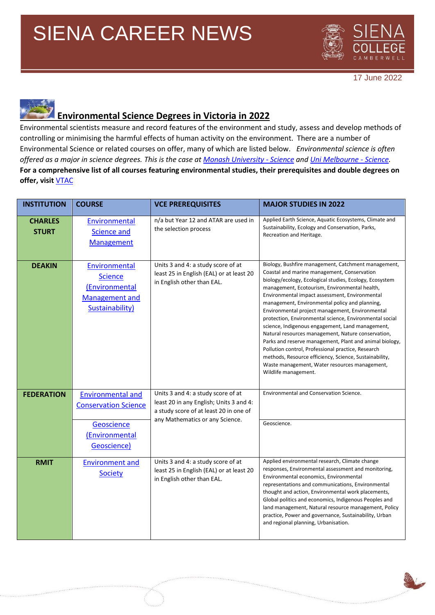

17 June 2022

### **Environmental Science Degrees in Victoria in 2022**

Environmental scientists measure and record features of the environment and study, assess and develop methods of controlling or minimising the harmful effects of human activity on the environment. There are a number of Environmental Science or related courses on offer, many of which are listed below. *Environmental science is often offered as a major in science degrees. This is the case at [Monash University -](https://www.monash.edu/study/courses/find-a-course/2022/science-s2000) Science and [Uni Melbourne -](https://study.unimelb.edu.au/find/courses/undergraduate/bachelor-of-science/) Science.*  **For a comprehensive list of all courses featuring environmental studies, their prerequisites and double degrees on offer, visit** [VTAC](http://www.vtac.edu.au/)

| <b>INSTITUTION</b>             | <b>COURSE</b>                                                                                          | <b>VCE PREREQUISITES</b>                                                                                                                                   | <b>MAJOR STUDIES IN 2022</b>                                                                                                                                                                                                                                                                                                                                                                                                                                                                                                                                                                                                                                                                                                                                                                   |
|--------------------------------|--------------------------------------------------------------------------------------------------------|------------------------------------------------------------------------------------------------------------------------------------------------------------|------------------------------------------------------------------------------------------------------------------------------------------------------------------------------------------------------------------------------------------------------------------------------------------------------------------------------------------------------------------------------------------------------------------------------------------------------------------------------------------------------------------------------------------------------------------------------------------------------------------------------------------------------------------------------------------------------------------------------------------------------------------------------------------------|
| <b>CHARLES</b><br><b>STURT</b> | Environmental<br><b>Science and</b><br><b>Management</b>                                               | n/a but Year 12 and ATAR are used in<br>the selection process                                                                                              | Applied Earth Science, Aquatic Ecosystems, Climate and<br>Sustainability, Ecology and Conservation, Parks,<br>Recreation and Heritage.                                                                                                                                                                                                                                                                                                                                                                                                                                                                                                                                                                                                                                                         |
| <b>DEAKIN</b>                  | Environmental<br><b>Science</b><br>(Environmental<br><b>Management and</b><br>Sustainability)          | Units 3 and 4: a study score of at<br>least 25 in English (EAL) or at least 20<br>in English other than EAL.                                               | Biology, Bushfire management, Catchment management,<br>Coastal and marine management, Conservation<br>biology/ecology, Ecological studies, Ecology, Ecosystem<br>management, Ecotourism, Environmental health,<br>Environmental impact assessment, Environmental<br>management, Environmental policy and planning,<br>Environmental project management, Environmental<br>protection, Environmental science, Environmental social<br>science, Indigenous engagement, Land management,<br>Natural resources management, Nature conservation,<br>Parks and reserve management, Plant and animal biology,<br>Pollution control, Professional practice, Research<br>methods, Resource efficiency, Science, Sustainability,<br>Waste management, Water resources management,<br>Wildlife management. |
| <b>FEDERATION</b>              | <b>Environmental and</b><br><b>Conservation Science</b><br>Geoscience<br>(Environmental<br>Geoscience) | Units 3 and 4: a study score of at<br>least 20 in any English; Units 3 and 4:<br>a study score of at least 20 in one of<br>any Mathematics or any Science. | Environmental and Conservation Science.<br>Geoscience.                                                                                                                                                                                                                                                                                                                                                                                                                                                                                                                                                                                                                                                                                                                                         |
| <b>RMIT</b>                    | <b>Environment and</b><br>Society                                                                      | Units 3 and 4: a study score of at<br>least 25 in English (EAL) or at least 20<br>in English other than EAL.                                               | Applied environmental research, Climate change<br>responses, Environmental assessment and monitoring,<br>Environmental economics, Environmental<br>representations and communications, Environmental<br>thought and action, Environmental work placements,<br>Global politics and economics, Indigenous Peoples and<br>land management, Natural resource management, Policy<br>practice, Power and governance, Sustainability, Urban<br>and regional planning, Urbanisation.                                                                                                                                                                                                                                                                                                                   |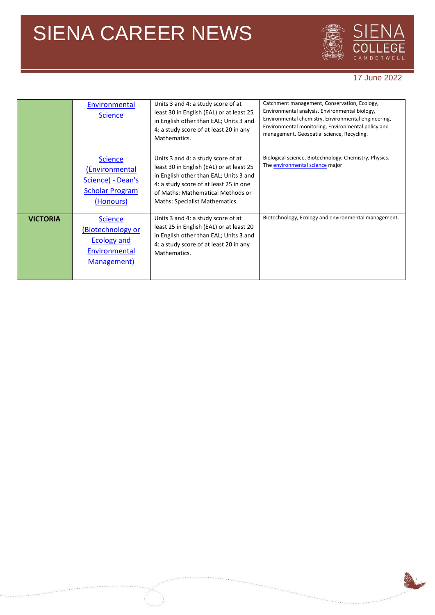

#### 17 June 2022

|                 | Environmental<br><b>Science</b>                                                              | Units 3 and 4: a study score of at<br>least 30 in English (EAL) or at least 25<br>in English other than EAL; Units 3 and<br>4: a study score of at least 20 in any<br>Mathematics.                                                        | Catchment management, Conservation, Ecology,<br>Environmental analysis, Environmental biology,<br>Environmental chemistry, Environmental engineering,<br>Environmental monitoring, Environmental policy and<br>management, Geospatial science, Recycling. |
|-----------------|----------------------------------------------------------------------------------------------|-------------------------------------------------------------------------------------------------------------------------------------------------------------------------------------------------------------------------------------------|-----------------------------------------------------------------------------------------------------------------------------------------------------------------------------------------------------------------------------------------------------------|
|                 | <b>Science</b><br>(Environmental<br>Science) - Dean's<br><b>Scholar Program</b><br>(Honours) | Units 3 and 4: a study score of at<br>least 30 in English (EAL) or at least 25<br>in English other than EAL; Units 3 and<br>4: a study score of at least 25 in one<br>of Maths: Mathematical Methods or<br>Maths: Specialist Mathematics. | Biological science, Biotechnology, Chemistry, Physics.<br>The environmental science major                                                                                                                                                                 |
| <b>VICTORIA</b> | <b>Science</b><br>(Biotechnology or<br><b>Ecology and</b><br>Environmental<br>Management)    | Units 3 and 4: a study score of at<br>least 25 in English (EAL) or at least 20<br>in English other than EAL; Units 3 and<br>4: a study score of at least 20 in any<br>Mathematics.                                                        | Biotechnology, Ecology and environmental management.                                                                                                                                                                                                      |